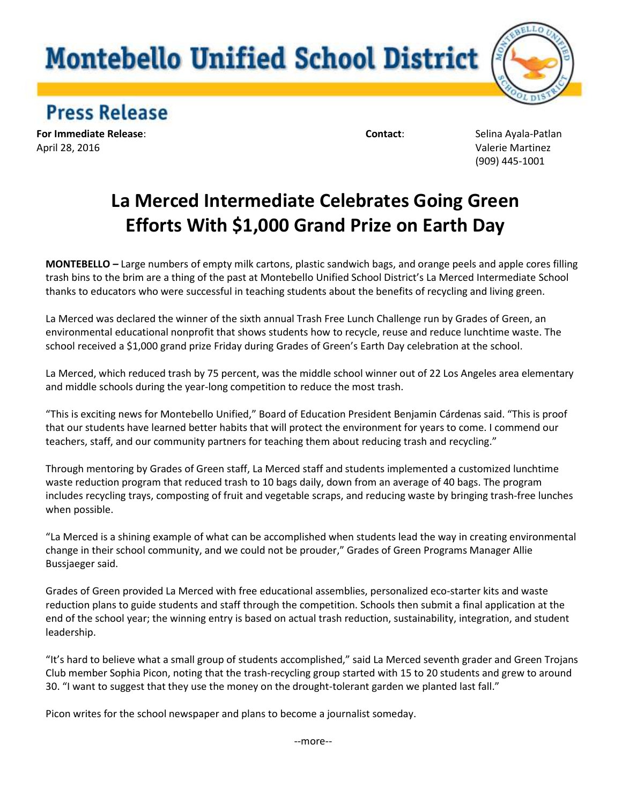## **Montebello Unified School District**



**Press Release** 

**For Immediate Release**: **Contact**: Selina Ayala-Patlan April 28, 2016 Valerie Martinez

(909) 445-1001

## **La Merced Intermediate Celebrates Going Green Efforts With \$1,000 Grand Prize on Earth Day**

**MONTEBELLO** *–* Large numbers of empty milk cartons, plastic sandwich bags, and orange peels and apple cores filling trash bins to the brim are a thing of the past at Montebello Unified School District's La Merced Intermediate School thanks to educators who were successful in teaching students about the benefits of recycling and living green.

La Merced was declared the winner of the sixth annual Trash Free Lunch Challenge run by Grades of Green, an environmental educational nonprofit that shows students how to recycle, reuse and reduce lunchtime waste. The school received a \$1,000 grand prize Friday during Grades of Green's Earth Day celebration at the school.

La Merced, which reduced trash by 75 percent, was the middle school winner out of 22 Los Angeles area elementary and middle schools during the year-long competition to reduce the most trash.

"This is exciting news for Montebello Unified," Board of Education President Benjamin Cárdenas said. "This is proof that our students have learned better habits that will protect the environment for years to come. I commend our teachers, staff, and our community partners for teaching them about reducing trash and recycling."

Through mentoring by Grades of Green staff, La Merced staff and students implemented a customized lunchtime waste reduction program that reduced trash to 10 bags daily, down from an average of 40 bags. The program includes recycling trays, composting of fruit and vegetable scraps, and reducing waste by bringing trash-free lunches when possible.

"La Merced is a shining example of what can be accomplished when students lead the way in creating environmental change in their school community, and we could not be prouder," Grades of Green Programs Manager Allie Bussjaeger said.

Grades of Green provided La Merced with free educational assemblies, personalized eco-starter kits and waste reduction plans to guide students and staff through the competition. Schools then submit a final application at the end of the school year; the winning entry is based on actual trash reduction, sustainability, integration, and student leadership.

"It's hard to believe what a small group of students accomplished," said La Merced seventh grader and Green Trojans Club member Sophia Picon, noting that the trash-recycling group started with 15 to 20 students and grew to around 30. "I want to suggest that they use the money on the drought-tolerant garden we planted last fall."

Picon writes for the school newspaper and plans to become a journalist someday.